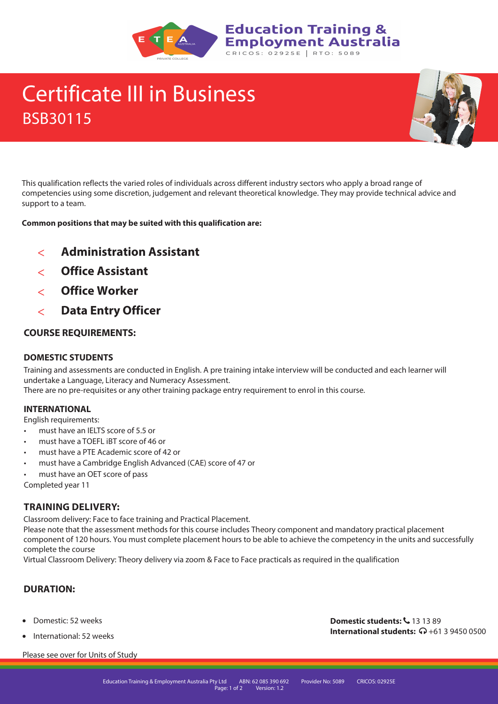

# Certificate III in Business BSB30115



This qualification reflects the varied roles of individuals across different industry sectors who apply a broad range of competencies using some discretion, judgement and relevant theoretical knowledge. They may provide technical advice and support to a team.

**Common positions that may be suited with this qualification are:**

- $\overline{\left( \right. }% ,\left. \overline{\left( \right. \right) }$ **Administration Assistant**
- **Office Assistant**
- $\overline{\left( \right. }% ,\left. \overline{\left( \right. \right) }$ **Office Worker**
- $\lt$ **Data Entry Officer**

### **COURSE REQUIREMENTS:**

### **DOMESTIC STUDENTS**

Training and assessments are conducted in English. A pre training intake interview will be conducted and each learner will undertake a Language, Literacy and Numeracy Assessment.

There are no pre-requisites or any other training package entry requirement to enrol in this course.

### **INTERNATIONAL**

English requirements:

- must have an IELTS score of 5.5 or
- must have a TOEFL iBT score of 46 or
- must have a PTE Academic score of 42 or
- must have a Cambridge English Advanced (CAE) score of 47 or
- must have an OET score of pass

Completed year 11

### **TRAINING DELIVERY:**

Classroom delivery: Face to face training and Practical Placement.

Please note that the assessment methods for this course includes Theory component and mandatory practical placement component of 120 hours. You must complete placement hours to be able to achieve the competency in the units and successfully complete the course

Virtual Classroom Delivery: Theory delivery via zoom & Face to Face practicals as required in the qualification

### **DURATION:**

- Domestic: 52 weeks
- International: 52 weeks

Please see over for Units of Study

**Domestic students:**  $\frac{1}{2}$  **13 13 89 International students:**  $\mathbf{\Omega}$  **+61 3 9450 0500**